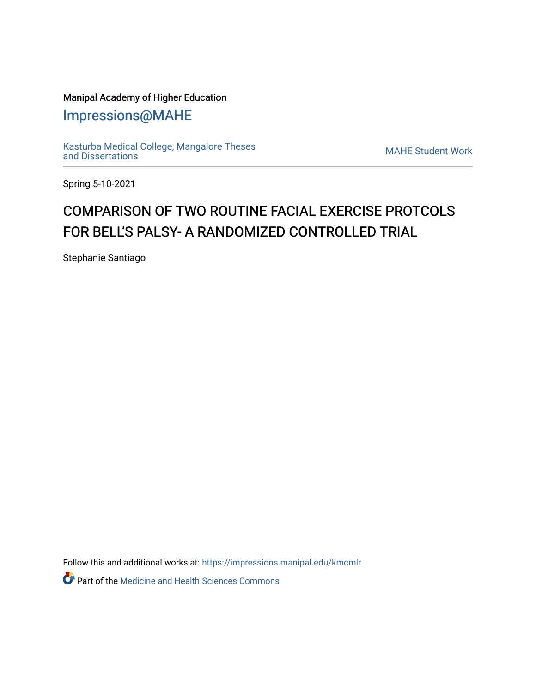## Manipal Academy of Higher Education

[Impressions@MAHE](https://impressions.manipal.edu/)

[Kasturba Medical College, Mangalore Theses](https://impressions.manipal.edu/kmcmlr) [and Dissertations](https://impressions.manipal.edu/kmcmlr) [MAHE Student Work](https://impressions.manipal.edu/student-work) 

Spring 5-10-2021

## COMPARISON OF TWO ROUTINE FACIAL EXERCISE PROTCOLS FOR BELL'S PALSY- A RANDOMIZED CONTROLLED TRIAL

Stephanie Santiago

Follow this and additional works at: [https://impressions.manipal.edu/kmcmlr](https://impressions.manipal.edu/kmcmlr?utm_source=impressions.manipal.edu%2Fkmcmlr%2F131&utm_medium=PDF&utm_campaign=PDFCoverPages) 

Part of the [Medicine and Health Sciences Commons](http://network.bepress.com/hgg/discipline/648?utm_source=impressions.manipal.edu%2Fkmcmlr%2F131&utm_medium=PDF&utm_campaign=PDFCoverPages)